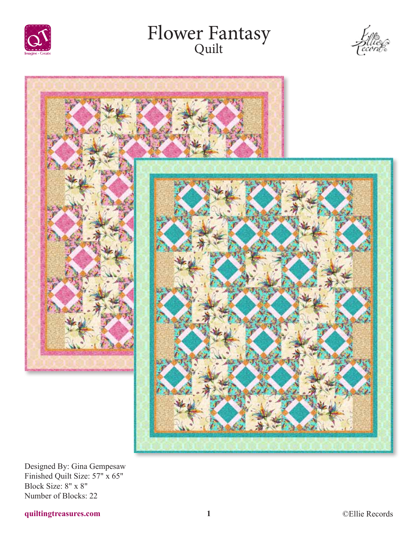

# Flower Fantasy Quilt





Designed By: Gina Gempesaw Finished Quilt Size: 57" x 65" Block Size: 8" x 8" Number of Blocks: 22

## **quiltingtreasures.com 1** ©Ellie Records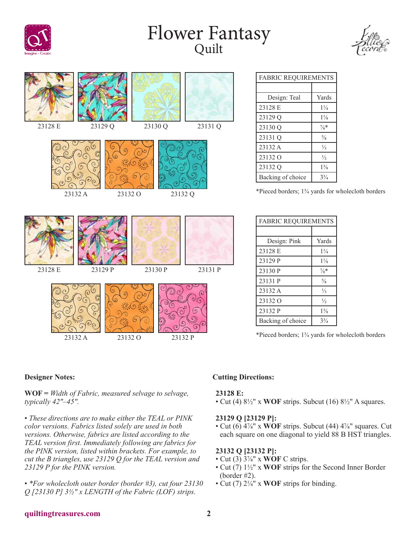

# Flower Fantasy Quilt



| 23128 E       | 23129 Q            | 23130 Q      | 23131 Q |
|---------------|--------------------|--------------|---------|
| Ó.<br>23132 A | 23132 O            | О<br>23132 Q |         |
| 23128 E       | 23129 P            | 23130 P      | 23131 P |
| Ó.<br>23132 A | 23132 <sub>O</sub> | ິດ           | 23132 P |

## FABRIC REQUIREMENTS Design: Teal | Yards 23128 E 1¼ 23129 Q 1<sup>1</sup>/<sub>8</sub> 23130 Q  $\frac{7}{8}*$ 23131 Q  $\frac{5}{8}$ 23132 A ⅓ 23132 O  $\frac{1}{2}$ 23132 Q 1<sup>3</sup>/<sub>8</sub> Backing of choice 3<sup>3</sup>/<sub>4</sub>

\*Pieced borders; 1¾ yards for wholecloth borders

| <b>FABRIC REQUIREMENTS</b> |                 |  |  |
|----------------------------|-----------------|--|--|
|                            |                 |  |  |
| Design: Pink               | Yards           |  |  |
| 23128 E                    | $1\frac{1}{4}$  |  |  |
| 23129 P                    | $1\frac{1}{8}$  |  |  |
| 23130 P                    | $\frac{7}{8}$ * |  |  |
| 23131 P                    | $\frac{5}{8}$   |  |  |
| 23132 A                    | $\frac{1}{3}$   |  |  |
| 23132 O                    | $\frac{1}{2}$   |  |  |
| 23132 P                    | $1\frac{3}{8}$  |  |  |
| Backing of choice          | $3\frac{3}{4}$  |  |  |

\*Pieced borders; 1¾ yards for wholecloth borders

### **Designer Notes:**

**WOF =** *Width of Fabric, measured selvage to selvage, typically 42"–45".*

• *These directions are to make either the TEAL or PINK color versions. Fabrics listed solely are used in both versions. Otherwise, fabrics are listed according to the TEAL version first. Immediately following are fabrics for the PINK version, listed within brackets. For example, to cut the B triangles, use 23129 Q for the TEAL version and 23129 P for the PINK version.*

• *\*For wholecloth outer border (border #3), cut four 23130 Q [23130 P] 3½" x LENGTH of the Fabric (LOF) strips.*

### **Cutting Directions:**

#### **23128 E:**

• Cut (4) 8½" x **WOF** strips. Subcut (16) 8½" A squares.

#### **23129 Q [23129 P]:**

• Cut (6) 4⅞" x **WOF** strips. Subcut (44) 4⅞" squares. Cut each square on one diagonal to yield 88 B HST triangles.

#### **23132 Q [23132 P]:**

- Cut (3) 3⅞" x **WOF** C strips.
- Cut (7) 1½" x **WOF** strips for the Second Inner Border (border #2).
- Cut (7) 2¼" x **WOF** strips for binding.

### **quiltingtreasures.com 2**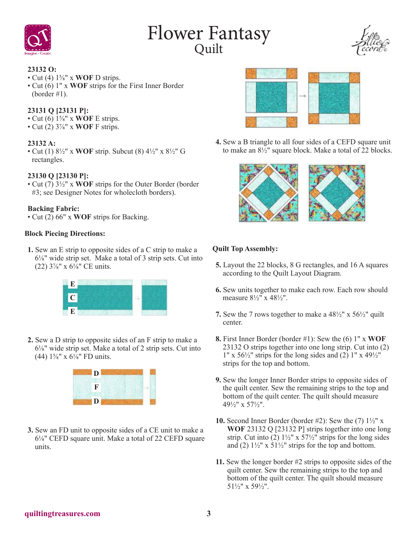

## Flower Fantasy<br><sup>Quilt</sup>



## **23132 O:**

- Cut (4) 1⅝" x **WOF** D strips.
- Cut (6) 1" x **WOF** strips for the First Inner Border (border #1).

## **23131 Q [23131 P]:**

- Cut (6) 1⅝" x **WOF** E strips.
- Cut (2) 3⅞" x **WOF** F strips.

### **23132 A:**

• Cut (1) 8½" x **WOF** strip. Subcut (8) 4½" x 8½" G rectangles.

## **23130 Q [23130 P]:**

• Cut (7) 3½" x **WOF** strips for the Outer Border (border #3; see Designer Notes for wholecloth borders).

### **Backing Fabric:**

• Cut (2) 66" x **WOF** strips for Backing.

### **Block Piecing Directions:**

**1.** Sew an E strip to opposite sides of a C strip to make a 6⅛" wide strip set. Make a total of 3 strip sets. Cut into (22)  $3\frac{7}{8}$ " x  $6\frac{1}{8}$ " CE units.



**2.** Sew a D strip to opposite sides of an F strip to make a 6⅛" wide strip set. Make a total of 2 strip sets. Cut into (44)  $1\frac{5}{8}$ " x  $6\frac{1}{8}$ " FD units.



**3.** Sew an FD unit to opposite sides of a CE unit to make a 6⅛" CEFD square unit. Make a total of 22 CEFD square units.



**4.** Sew a B triangle to all four sides of a CEFD square unit to make an  $8\frac{1}{2}$ " square block. Make a total of  $\frac{2}{2}$  blocks.



### **Quilt Top Assembly:**

- **5.** Layout the 22 blocks, 8 G rectangles, and 16 A squares according to the Quilt Layout Diagram.
- **6.** Sew units together to make each row. Each row should measure  $8\frac{1}{2}$ " x  $48\frac{1}{2}$ ".
- **7.** Sew the 7 rows together to make a 48½" x 56½" quilt center.
- **8.** First Inner Border (border #1): Sew the (6) 1" x **WOF** 23132 O strips together into one long strip. Cut into (2)  $1''$  x  $56\frac{1}{2}$ " strips for the long sides and (2)  $1''$  x  $49\frac{1}{2}$ " strips for the top and bottom.
- **9.** Sew the longer Inner Border strips to opposite sides of the quilt center. Sew the remaining strips to the top and bottom of the quilt center. The quilt should measure 49½" x 57½".
- **10.** Second Inner Border (border #2): Sew the  $(7)$   $1\frac{1}{2}$ " x **WOF** 23132 Q [23132 P] strips together into one long strip. Cut into  $(2)$  1<sup>1</sup>/<sub>2</sub>" x 57<sup>1</sup>/<sub>2</sub>" strips for the long sides and (2)  $1\frac{1}{2}$ " x  $51\frac{1}{2}$ " strips for the top and bottom.
- **11.** Sew the longer border #2 strips to opposite sides of the quilt center. Sew the remaining strips to the top and bottom of the quilt center. The quilt should measure 51½" x 59½".